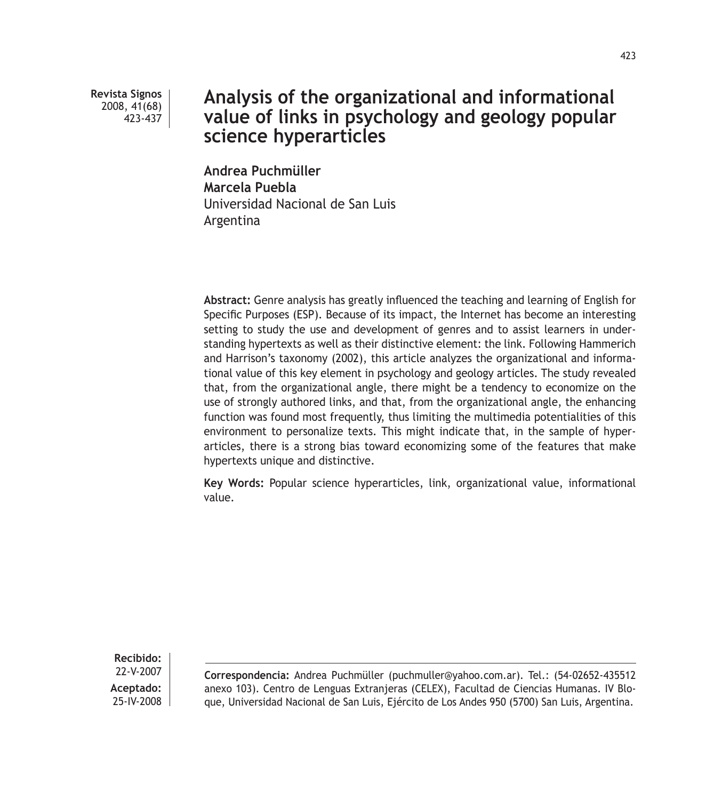**Revista Signos** 2008, 41(68) 423-437

# **Analysis of the organizational and informational value of links in psychology and geology popular science hyperarticles**

**Andrea Puchmüller Marcela Puebla** Universidad Nacional de San Luis Argentina

**Abstract:** Genre analysis has greatly influenced the teaching and learning of English for Specific Purposes (ESP). Because of its impact, the Internet has become an interesting setting to study the use and development of genres and to assist learners in understanding hypertexts as well as their distinctive element: the link. Following Hammerich and Harrison's taxonomy (2002), this article analyzes the organizational and informational value of this key element in psychology and geology articles. The study revealed that, from the organizational angle, there might be a tendency to economize on the use of strongly authored links, and that, from the organizational angle, the enhancing function was found most frequently, thus limiting the multimedia potentialities of this environment to personalize texts. This might indicate that, in the sample of hyperarticles, there is a strong bias toward economizing some of the features that make hypertexts unique and distinctive.

**Key Words:** Popular science hyperarticles, link, organizational value, informational value.

**Recibido:** 22-V-2007 **Aceptado:** 25-IV-2008

**Correspondencia:** Andrea Puchmüller (puchmuller@yahoo.com.ar). Tel.: (54-02652-435512 anexo 103). Centro de Lenguas Extranjeras (CELEX), Facultad de Ciencias Humanas. IV Bloque, Universidad Nacional de San Luis, Ejército de Los Andes 950 (5700) San Luis, Argentina.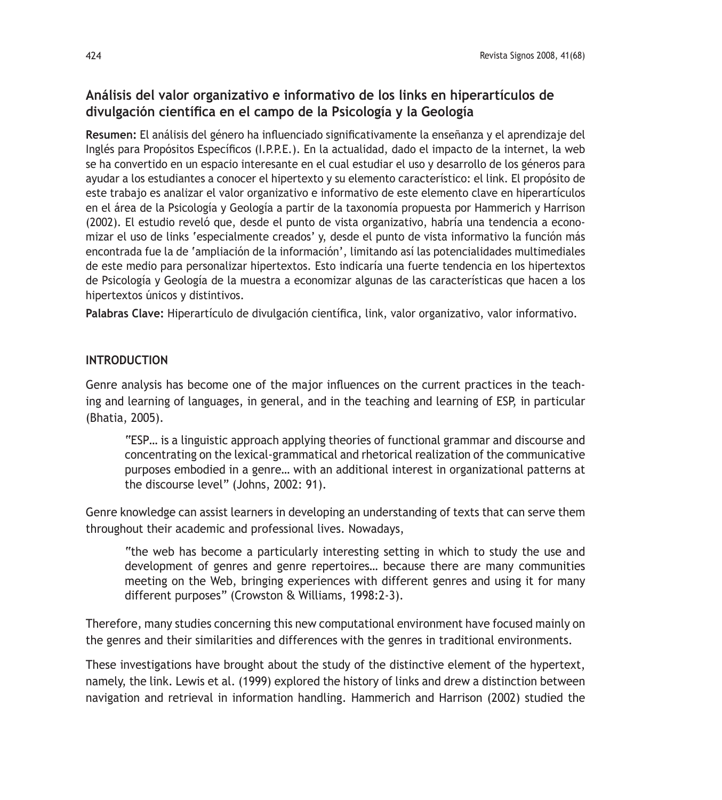## **Análisis del valor organizativo e informativo de los links en hiperartículos de divulgación científica en el campo de la Psicología y la Geología**

**Resumen:** El análisis del género ha influenciado significativamente la enseñanza y el aprendizaje del Inglés para Propósitos Específicos (I.P.P.E.). En la actualidad, dado el impacto de la internet, la web se ha convertido en un espacio interesante en el cual estudiar el uso y desarrollo de los géneros para ayudar a los estudiantes a conocer el hipertexto y su elemento característico: el link. El propósito de este trabajo es analizar el valor organizativo e informativo de este elemento clave en hiperartículos en el área de la Psicología y Geología a partir de la taxonomía propuesta por Hammerich y Harrison (2002). El estudio reveló que, desde el punto de vista organizativo, habría una tendencia a economizar el uso de links 'especialmente creados' y, desde el punto de vista informativo la función más encontrada fue la de 'ampliación de la información', limitando así las potencialidades multimediales de este medio para personalizar hipertextos. Esto indicaría una fuerte tendencia en los hipertextos de Psicología y Geología de la muestra a economizar algunas de las características que hacen a los hipertextos únicos y distintivos.

**Palabras Clave:** Hiperartículo de divulgación científica, link, valor organizativo, valor informativo.

## **INTRODUCTION**

Genre analysis has become one of the major influences on the current practices in the teaching and learning of languages, in general, and in the teaching and learning of ESP, in particular (Bhatia, 2005).

"ESP… is a linguistic approach applying theories of functional grammar and discourse and concentrating on the lexical-grammatical and rhetorical realization of the communicative purposes embodied in a genre… with an additional interest in organizational patterns at the discourse level" (Johns, 2002: 91).

Genre knowledge can assist learners in developing an understanding of texts that can serve them throughout their academic and professional lives. Nowadays,

"the web has become a particularly interesting setting in which to study the use and development of genres and genre repertoires… because there are many communities meeting on the Web, bringing experiences with different genres and using it for many different purposes" (Crowston & Williams, 1998:2-3).

Therefore, many studies concerning this new computational environment have focused mainly on the genres and their similarities and differences with the genres in traditional environments.

These investigations have brought about the study of the distinctive element of the hypertext, namely, the link. Lewis et al. (1999) explored the history of links and drew a distinction between navigation and retrieval in information handling. Hammerich and Harrison (2002) studied the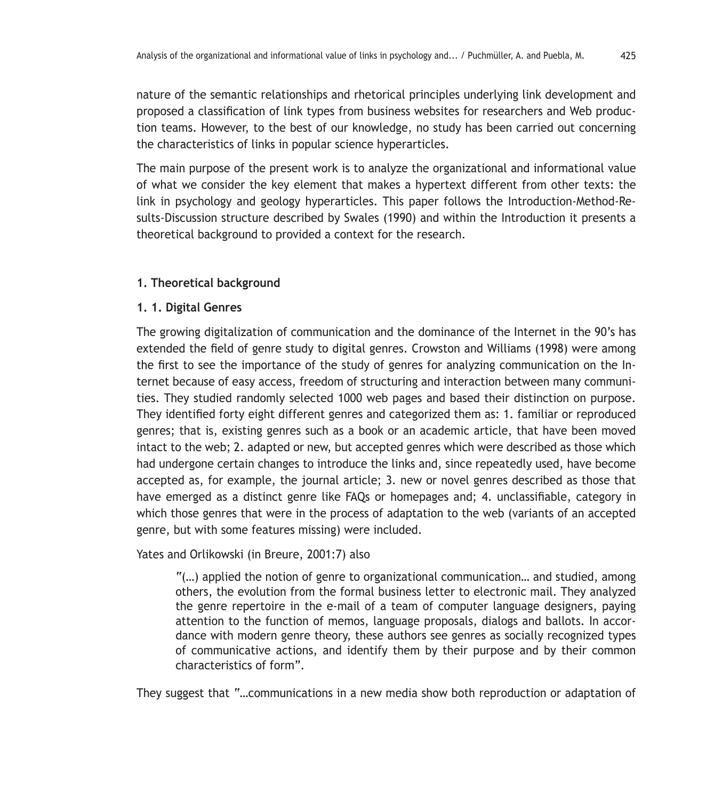nature of the semantic relationships and rhetorical principles underlying link development and proposed a classification of link types from business websites for researchers and Web production teams. However, to the best of our knowledge, no study has been carried out concerning the characteristics of links in popular science hyperarticles.

The main purpose of the present work is to analyze the organizational and informational value of what we consider the key element that makes a hypertext different from other texts: the link in psychology and geology hyperarticles. This paper follows the Introduction-Method-Results-Discussion structure described by Swales (1990) and within the Introduction it presents a theoretical background to provided a context for the research.

#### **1. Theoretical background**

#### **1. 1. Digital Genres**

The growing digitalization of communication and the dominance of the Internet in the 90's has extended the field of genre study to digital genres. Crowston and Williams (1998) were among the first to see the importance of the study of genres for analyzing communication on the Internet because of easy access, freedom of structuring and interaction between many communities. They studied randomly selected 1000 web pages and based their distinction on purpose. They identified forty eight different genres and categorized them as: 1. familiar or reproduced genres; that is, existing genres such as a book or an academic article, that have been moved intact to the web; 2. adapted or new, but accepted genres which were described as those which had undergone certain changes to introduce the links and, since repeatedly used, have become accepted as, for example, the journal article; 3. new or novel genres described as those that have emerged as a distinct genre like FAQs or homepages and; 4. unclassifiable, category in which those genres that were in the process of adaptation to the web (variants of an accepted genre, but with some features missing) were included.

Yates and Orlikowski (in Breure, 2001:7) also

"(…) applied the notion of genre to organizational communication… and studied, among others, the evolution from the formal business letter to electronic mail. They analyzed the genre repertoire in the e-mail of a team of computer language designers, paying attention to the function of memos, language proposals, dialogs and ballots. In accordance with modern genre theory, these authors see genres as socially recognized types of communicative actions, and identify them by their purpose and by their common characteristics of form".

They suggest that "…communications in a new media show both reproduction or adaptation of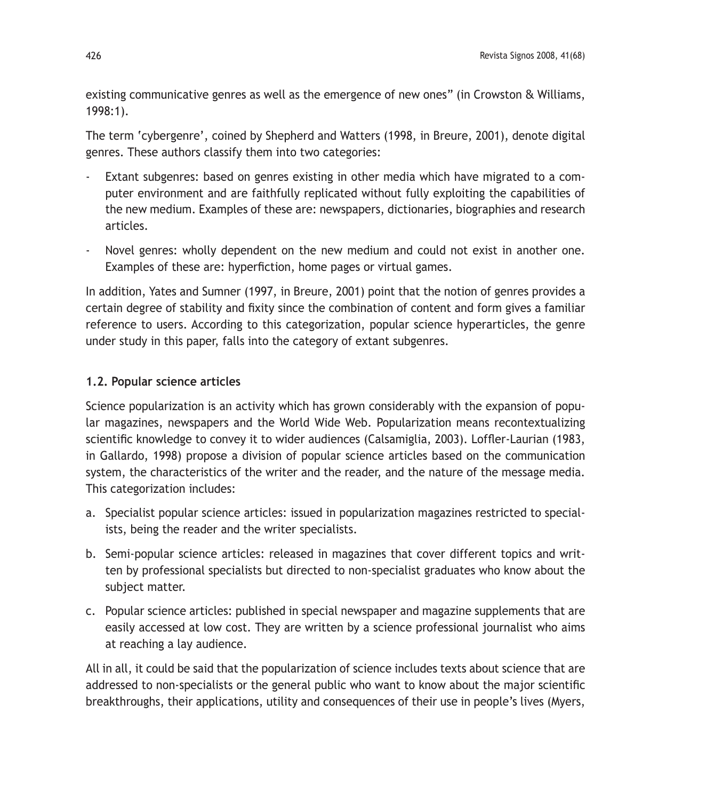existing communicative genres as well as the emergence of new ones" (in Crowston & Williams, 1998:1).

The term 'cybergenre', coined by Shepherd and Watters (1998, in Breure, 2001), denote digital genres. These authors classify them into two categories:

- Extant subgenres: based on genres existing in other media which have migrated to a computer environment and are faithfully replicated without fully exploiting the capabilities of the new medium. Examples of these are: newspapers, dictionaries, biographies and research articles.
- Novel genres: wholly dependent on the new medium and could not exist in another one. Examples of these are: hyperfiction, home pages or virtual games.

In addition, Yates and Sumner (1997, in Breure, 2001) point that the notion of genres provides a certain degree of stability and fixity since the combination of content and form gives a familiar reference to users. According to this categorization, popular science hyperarticles, the genre under study in this paper, falls into the category of extant subgenres.

## **1.2. Popular science articles**

Science popularization is an activity which has grown considerably with the expansion of popular magazines, newspapers and the World Wide Web. Popularization means recontextualizing scientific knowledge to convey it to wider audiences (Calsamiglia, 2003). Loffler-Laurian (1983, in Gallardo, 1998) propose a division of popular science articles based on the communication system, the characteristics of the writer and the reader, and the nature of the message media. This categorization includes:

- a. Specialist popular science articles: issued in popularization magazines restricted to specialists, being the reader and the writer specialists.
- b. Semi-popular science articles: released in magazines that cover different topics and written by professional specialists but directed to non-specialist graduates who know about the subject matter.
- c. Popular science articles: published in special newspaper and magazine supplements that are easily accessed at low cost. They are written by a science professional journalist who aims at reaching a lay audience.

All in all, it could be said that the popularization of science includes texts about science that are addressed to non-specialists or the general public who want to know about the major scientific breakthroughs, their applications, utility and consequences of their use in people's lives (Myers,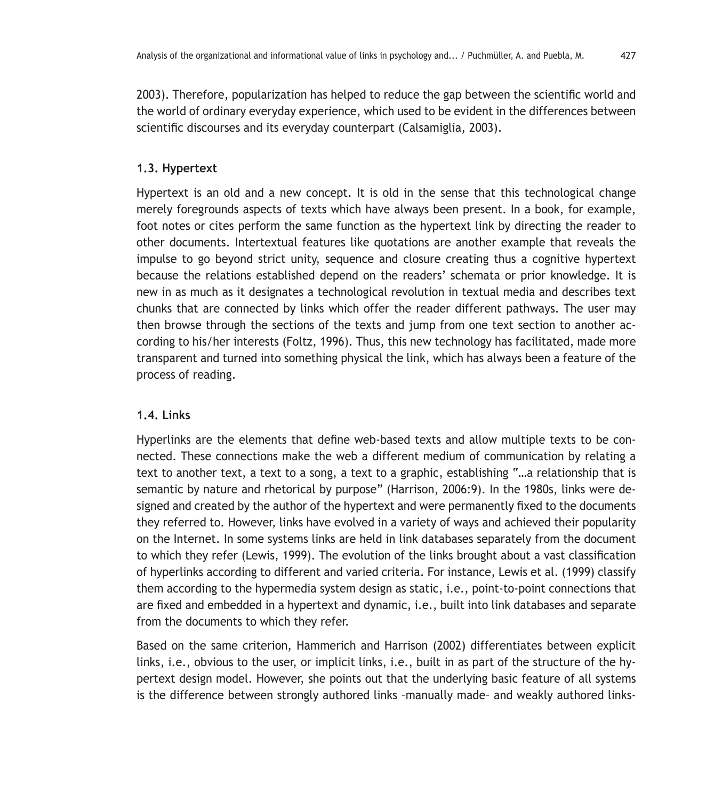2003). Therefore, popularization has helped to reduce the gap between the scientific world and the world of ordinary everyday experience, which used to be evident in the differences between scientific discourses and its everyday counterpart (Calsamiglia, 2003).

#### **1.3. Hypertext**

Hypertext is an old and a new concept. It is old in the sense that this technological change merely foregrounds aspects of texts which have always been present. In a book, for example, foot notes or cites perform the same function as the hypertext link by directing the reader to other documents. Intertextual features like quotations are another example that reveals the impulse to go beyond strict unity, sequence and closure creating thus a cognitive hypertext because the relations established depend on the readers' schemata or prior knowledge. It is new in as much as it designates a technological revolution in textual media and describes text chunks that are connected by links which offer the reader different pathways. The user may then browse through the sections of the texts and jump from one text section to another according to his/her interests (Foltz, 1996). Thus, this new technology has facilitated, made more transparent and turned into something physical the link, which has always been a feature of the process of reading.

## **1.4. Links**

Hyperlinks are the elements that define web-based texts and allow multiple texts to be connected. These connections make the web a different medium of communication by relating a text to another text, a text to a song, a text to a graphic, establishing "…a relationship that is semantic by nature and rhetorical by purpose" (Harrison, 2006:9). In the 1980s, links were designed and created by the author of the hypertext and were permanently fixed to the documents they referred to. However, links have evolved in a variety of ways and achieved their popularity on the Internet. In some systems links are held in link databases separately from the document to which they refer (Lewis, 1999). The evolution of the links brought about a vast classification of hyperlinks according to different and varied criteria. For instance, Lewis et al. (1999) classify them according to the hypermedia system design as static, i.e., point-to-point connections that are fixed and embedded in a hypertext and dynamic, i.e., built into link databases and separate from the documents to which they refer.

Based on the same criterion, Hammerich and Harrison (2002) differentiates between explicit links, i.e., obvious to the user, or implicit links, i.e., built in as part of the structure of the hypertext design model. However, she points out that the underlying basic feature of all systems is the difference between strongly authored links –manually made– and weakly authored links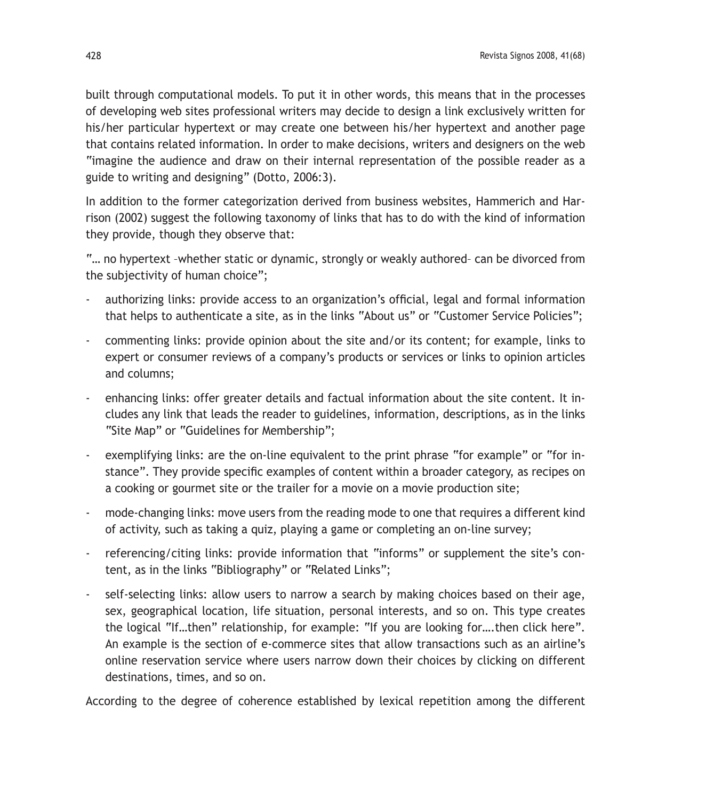built through computational models. To put it in other words, this means that in the processes of developing web sites professional writers may decide to design a link exclusively written for his/her particular hypertext or may create one between his/her hypertext and another page that contains related information. In order to make decisions, writers and designers on the web "imagine the audience and draw on their internal representation of the possible reader as a guide to writing and designing" (Dotto, 2006:3).

In addition to the former categorization derived from business websites, Hammerich and Harrison (2002) suggest the following taxonomy of links that has to do with the kind of information they provide, though they observe that:

"… no hypertext –whether static or dynamic, strongly or weakly authored– can be divorced from the subjectivity of human choice";

- authorizing links: provide access to an organization's official, legal and formal information that helps to authenticate a site, as in the links "About us" or "Customer Service Policies";
- commenting links: provide opinion about the site and/or its content; for example, links to expert or consumer reviews of a company's products or services or links to opinion articles and columns;
- enhancing links: offer greater details and factual information about the site content. It includes any link that leads the reader to guidelines, information, descriptions, as in the links "Site Map" or "Guidelines for Membership";
- exemplifying links: are the on-line equivalent to the print phrase "for example" or "for instance". They provide specific examples of content within a broader category, as recipes on a cooking or gourmet site or the trailer for a movie on a movie production site;
- mode-changing links: move users from the reading mode to one that requires a different kind of activity, such as taking a quiz, playing a game or completing an on-line survey;
- referencing/citing links: provide information that "informs" or supplement the site's content, as in the links "Bibliography" or "Related Links";
- self-selecting links: allow users to narrow a search by making choices based on their age, sex, geographical location, life situation, personal interests, and so on. This type creates the logical "If…then" relationship, for example: "If you are looking for….then click here". An example is the section of e-commerce sites that allow transactions such as an airline's online reservation service where users narrow down their choices by clicking on different destinations, times, and so on.

According to the degree of coherence established by lexical repetition among the different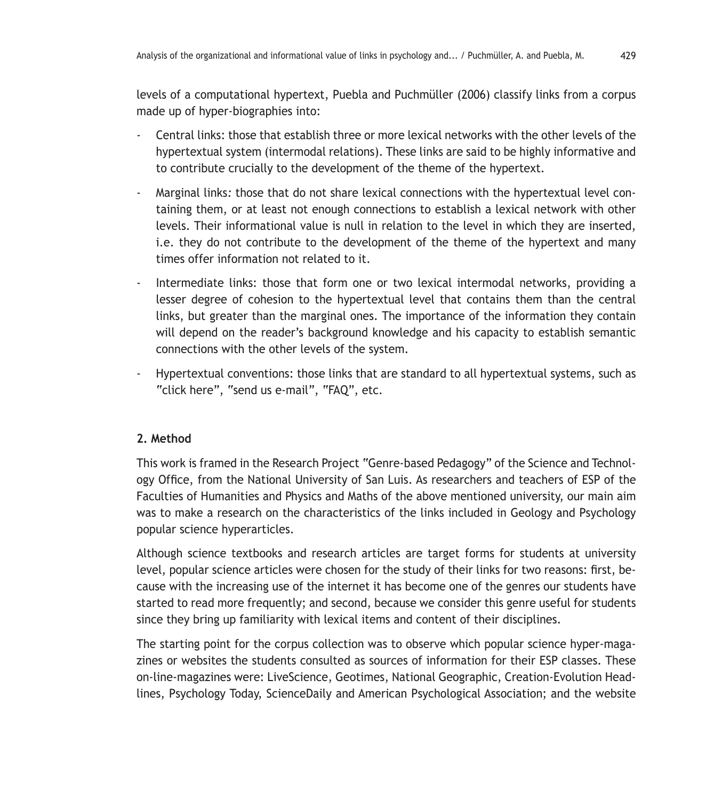levels of a computational hypertext, Puebla and Puchmüller (2006) classify links from a corpus made up of hyper-biographies into:

- Central links: those that establish three or more lexical networks with the other levels of the hypertextual system (intermodal relations). These links are said to be highly informative and to contribute crucially to the development of the theme of the hypertext.
- Marginal links*:* those that do not share lexical connections with the hypertextual level containing them, or at least not enough connections to establish a lexical network with other levels. Their informational value is null in relation to the level in which they are inserted, i.e. they do not contribute to the development of the theme of the hypertext and many times offer information not related to it.
- Intermediate links: those that form one or two lexical intermodal networks, providing a lesser degree of cohesion to the hypertextual level that contains them than the central links, but greater than the marginal ones. The importance of the information they contain will depend on the reader's background knowledge and his capacity to establish semantic connections with the other levels of the system.
- Hypertextual conventions: those links that are standard to all hypertextual systems, such as "click here", "send us e-mail", "FAQ", etc.

## **2. Method**

This work is framed in the Research Project "Genre-based Pedagogy" of the Science and Technology Office, from the National University of San Luis. As researchers and teachers of ESP of the Faculties of Humanities and Physics and Maths of the above mentioned university, our main aim was to make a research on the characteristics of the links included in Geology and Psychology popular science hyperarticles.

Although science textbooks and research articles are target forms for students at university level, popular science articles were chosen for the study of their links for two reasons: first, because with the increasing use of the internet it has become one of the genres our students have started to read more frequently; and second, because we consider this genre useful for students since they bring up familiarity with lexical items and content of their disciplines.

The starting point for the corpus collection was to observe which popular science hyper-magazines or websites the students consulted as sources of information for their ESP classes. These on-line-magazines were: LiveScience, Geotimes, National Geographic, Creation-Evolution Headlines, Psychology Today, ScienceDaily and American Psychological Association; and the website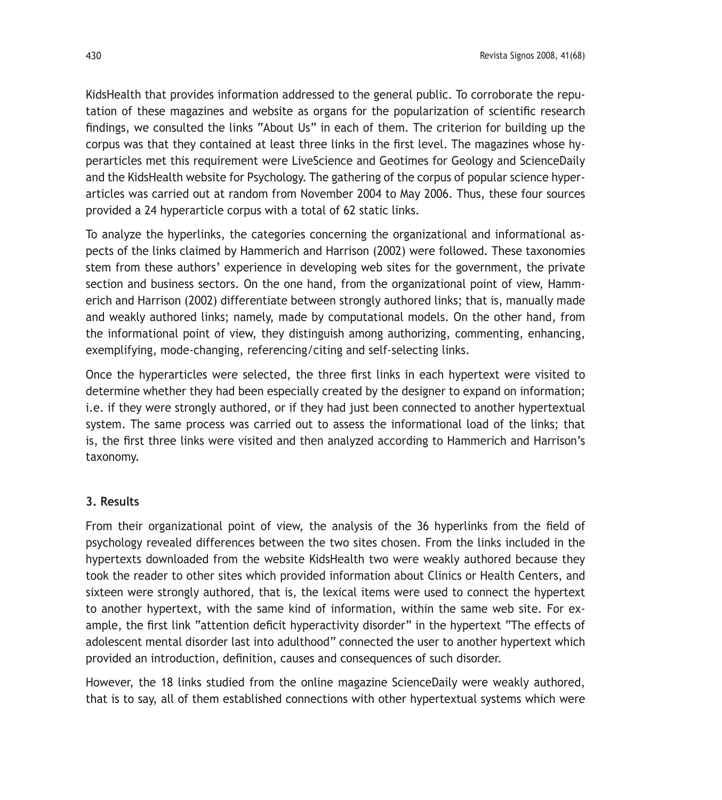KidsHealth that provides information addressed to the general public. To corroborate the reputation of these magazines and website as organs for the popularization of scientific research findings, we consulted the links "About Us" in each of them. The criterion for building up the corpus was that they contained at least three links in the first level. The magazines whose hyperarticles met this requirement were LiveScience and Geotimes for Geology and ScienceDaily and the KidsHealth website for Psychology. The gathering of the corpus of popular science hyperarticles was carried out at random from November 2004 to May 2006. Thus, these four sources provided a 24 hyperarticle corpus with a total of 62 static links.

To analyze the hyperlinks, the categories concerning the organizational and informational aspects of the links claimed by Hammerich and Harrison (2002) were followed. These taxonomies stem from these authors' experience in developing web sites for the government, the private section and business sectors. On the one hand, from the organizational point of view, Hammerich and Harrison (2002) differentiate between strongly authored links; that is, manually made and weakly authored links; namely, made by computational models. On the other hand, from the informational point of view, they distinguish among authorizing, commenting, enhancing, exemplifying, mode-changing, referencing/citing and self-selecting links.

Once the hyperarticles were selected, the three first links in each hypertext were visited to determine whether they had been especially created by the designer to expand on information; i.e. if they were strongly authored, or if they had just been connected to another hypertextual system. The same process was carried out to assess the informational load of the links; that is, the first three links were visited and then analyzed according to Hammerich and Harrison's taxonomy.

#### **3. Results**

From their organizational point of view, the analysis of the 36 hyperlinks from the field of psychology revealed differences between the two sites chosen. From the links included in the hypertexts downloaded from the website KidsHealth two were weakly authored because they took the reader to other sites which provided information about Clinics or Health Centers, and sixteen were strongly authored, that is, the lexical items were used to connect the hypertext to another hypertext, with the same kind of information, within the same web site. For example, the first link "attention deficit hyperactivity disorder" in the hypertext "The effects of adolescent mental disorder last into adulthood" connected the user to another hypertext which provided an introduction, definition, causes and consequences of such disorder.

However, the 18 links studied from the online magazine ScienceDaily were weakly authored, that is to say, all of them established connections with other hypertextual systems which were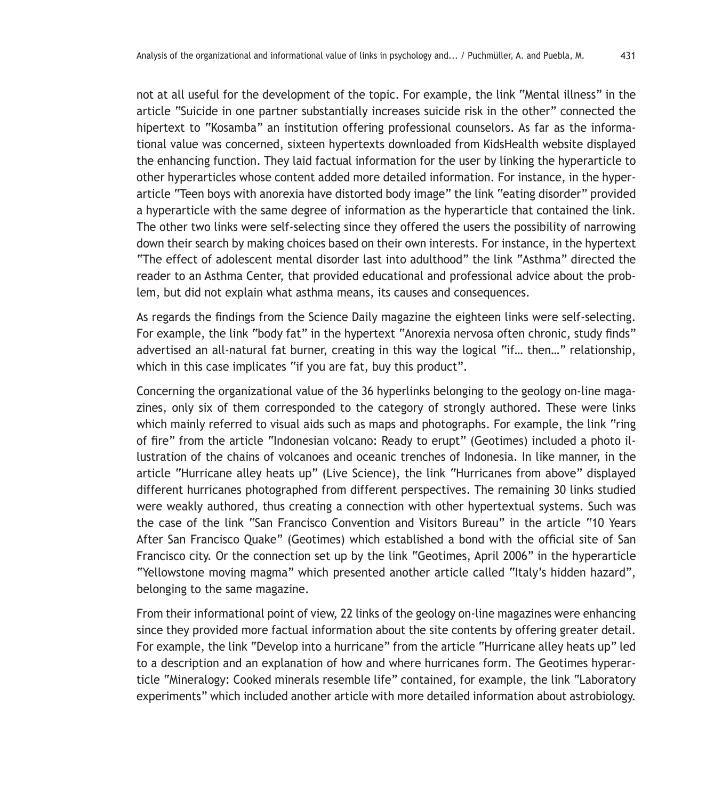not at all useful for the development of the topic. For example, the link "Mental illness" in the article "Suicide in one partner substantially increases suicide risk in the other" connected the hipertext to "Kosamba" an institution offering professional counselors. As far as the informational value was concerned, sixteen hypertexts downloaded from KidsHealth website displayed the enhancing function. They laid factual information for the user by linking the hyperarticle to other hyperarticles whose content added more detailed information. For instance, in the hyperarticle "Teen boys with anorexia have distorted body image" the link "eating disorder" provided a hyperarticle with the same degree of information as the hyperarticle that contained the link. The other two links were self-selecting since they offered the users the possibility of narrowing down their search by making choices based on their own interests. For instance, in the hypertext "The effect of adolescent mental disorder last into adulthood" the link "Asthma" directed the reader to an Asthma Center, that provided educational and professional advice about the problem, but did not explain what asthma means, its causes and consequences.

As regards the findings from the Science Daily magazine the eighteen links were self-selecting. For example, the link "body fat" in the hypertext "Anorexia nervosa often chronic, study finds" advertised an all-natural fat burner, creating in this way the logical "if… then…" relationship, which in this case implicates "if you are fat, buy this product".

Concerning the organizational value of the 36 hyperlinks belonging to the geology on-line magazines, only six of them corresponded to the category of strongly authored. These were links which mainly referred to visual aids such as maps and photographs. For example, the link "ring of fire" from the article "Indonesian volcano: Ready to erupt" (Geotimes) included a photo illustration of the chains of volcanoes and oceanic trenches of Indonesia. In like manner, in the article "Hurricane alley heats up" (Live Science), the link "Hurricanes from above" displayed different hurricanes photographed from different perspectives. The remaining 30 links studied were weakly authored, thus creating a connection with other hypertextual systems. Such was the case of the link "San Francisco Convention and Visitors Bureau" in the article "10 Years After San Francisco Quake" (Geotimes) which established a bond with the official site of San Francisco city. Or the connection set up by the link "Geotimes, April 2006" in the hyperarticle "Yellowstone moving magma" which presented another article called "Italy's hidden hazard", belonging to the same magazine.

From their informational point of view, 22 links of the geology on-line magazines were enhancing since they provided more factual information about the site contents by offering greater detail. For example, the link "Develop into a hurricane" from the article "Hurricane alley heats up" led to a description and an explanation of how and where hurricanes form. The Geotimes hyperarticle "Mineralogy: Cooked minerals resemble life" contained, for example, the link "Laboratory experiments" which included another article with more detailed information about astrobiology.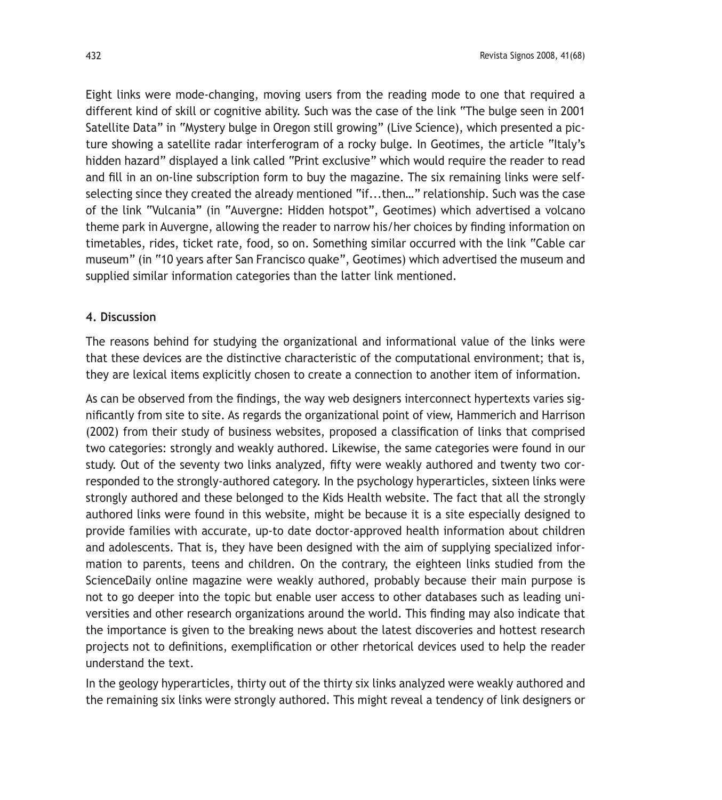Eight links were mode-changing, moving users from the reading mode to one that required a different kind of skill or cognitive ability. Such was the case of the link "The bulge seen in 2001 Satellite Data" in "Mystery bulge in Oregon still growing" (Live Science), which presented a picture showing a satellite radar interferogram of a rocky bulge. In Geotimes, the article "Italy's hidden hazard" displayed a link called "Print exclusive" which would require the reader to read and fill in an on-line subscription form to buy the magazine. The six remaining links were selfselecting since they created the already mentioned "if...then…" relationship. Such was the case of the link "Vulcania" (in "Auvergne: Hidden hotspot", Geotimes) which advertised a volcano theme park in Auvergne, allowing the reader to narrow his/her choices by finding information on timetables, rides, ticket rate, food, so on. Something similar occurred with the link "Cable car museum" (in "10 years after San Francisco quake", Geotimes) which advertised the museum and supplied similar information categories than the latter link mentioned.

#### **4. Discussion**

The reasons behind for studying the organizational and informational value of the links were that these devices are the distinctive characteristic of the computational environment; that is, they are lexical items explicitly chosen to create a connection to another item of information.

As can be observed from the findings, the way web designers interconnect hypertexts varies significantly from site to site. As regards the organizational point of view, Hammerich and Harrison (2002) from their study of business websites, proposed a classification of links that comprised two categories: strongly and weakly authored. Likewise, the same categories were found in our study. Out of the seventy two links analyzed, fifty were weakly authored and twenty two corresponded to the strongly-authored category. In the psychology hyperarticles, sixteen links were strongly authored and these belonged to the Kids Health website. The fact that all the strongly authored links were found in this website, might be because it is a site especially designed to provide families with accurate, up-to date doctor-approved health information about children and adolescents. That is, they have been designed with the aim of supplying specialized information to parents, teens and children. On the contrary, the eighteen links studied from the ScienceDaily online magazine were weakly authored, probably because their main purpose is not to go deeper into the topic but enable user access to other databases such as leading universities and other research organizations around the world. This finding may also indicate that the importance is given to the breaking news about the latest discoveries and hottest research projects not to definitions, exemplification or other rhetorical devices used to help the reader understand the text.

In the geology hyperarticles, thirty out of the thirty six links analyzed were weakly authored and the remaining six links were strongly authored. This might reveal a tendency of link designers or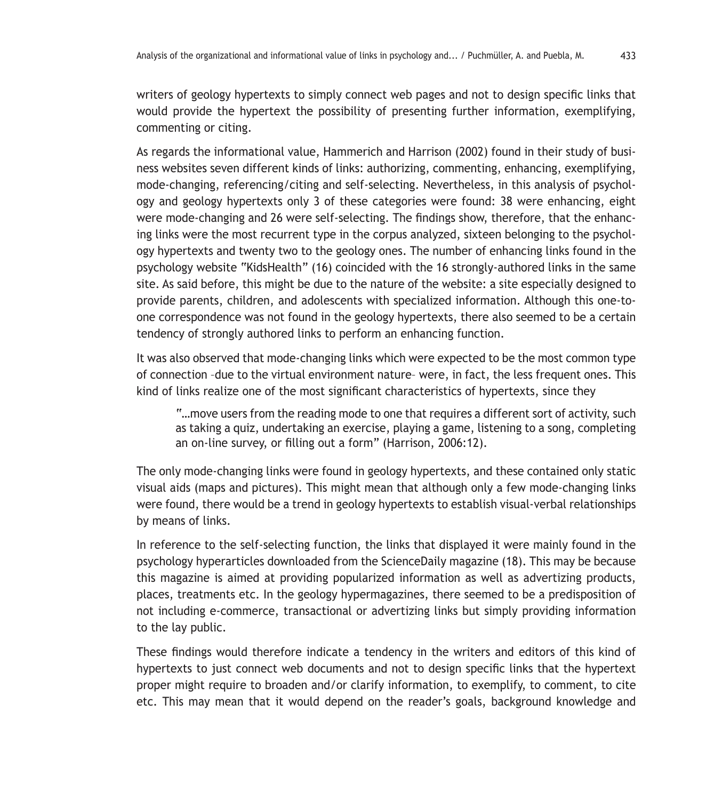writers of geology hypertexts to simply connect web pages and not to design specific links that would provide the hypertext the possibility of presenting further information, exemplifying, commenting or citing.

As regards the informational value, Hammerich and Harrison (2002) found in their study of business websites seven different kinds of links: authorizing, commenting, enhancing, exemplifying, mode-changing, referencing/citing and self-selecting. Nevertheless, in this analysis of psychology and geology hypertexts only 3 of these categories were found: 38 were enhancing, eight were mode-changing and 26 were self-selecting. The findings show, therefore, that the enhancing links were the most recurrent type in the corpus analyzed, sixteen belonging to the psychology hypertexts and twenty two to the geology ones. The number of enhancing links found in the psychology website "KidsHealth" (16) coincided with the 16 strongly-authored links in the same site. As said before, this might be due to the nature of the website: a site especially designed to provide parents, children, and adolescents with specialized information. Although this one-toone correspondence was not found in the geology hypertexts, there also seemed to be a certain tendency of strongly authored links to perform an enhancing function.

It was also observed that mode-changing links which were expected to be the most common type of connection –due to the virtual environment nature– were, in fact, the less frequent ones. This kind of links realize one of the most significant characteristics of hypertexts, since they

"…move users from the reading mode to one that requires a different sort of activity, such as taking a quiz, undertaking an exercise, playing a game, listening to a song, completing an on-line survey, or filling out a form" (Harrison, 2006:12).

The only mode-changing links were found in geology hypertexts, and these contained only static visual aids (maps and pictures). This might mean that although only a few mode-changing links were found, there would be a trend in geology hypertexts to establish visual-verbal relationships by means of links.

In reference to the self-selecting function, the links that displayed it were mainly found in the psychology hyperarticles downloaded from the ScienceDaily magazine (18). This may be because this magazine is aimed at providing popularized information as well as advertizing products, places, treatments etc. In the geology hypermagazines, there seemed to be a predisposition of not including e-commerce, transactional or advertizing links but simply providing information to the lay public.

These findings would therefore indicate a tendency in the writers and editors of this kind of hypertexts to just connect web documents and not to design specific links that the hypertext proper might require to broaden and/or clarify information, to exemplify, to comment, to cite etc. This may mean that it would depend on the reader's goals, background knowledge and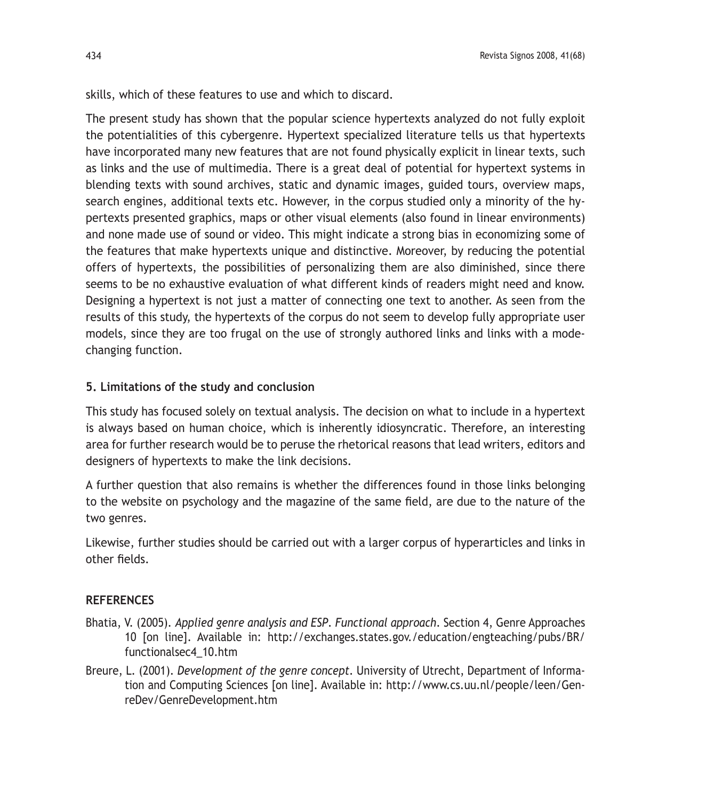skills, which of these features to use and which to discard.

The present study has shown that the popular science hypertexts analyzed do not fully exploit the potentialities of this cybergenre. Hypertext specialized literature tells us that hypertexts have incorporated many new features that are not found physically explicit in linear texts, such as links and the use of multimedia. There is a great deal of potential for hypertext systems in blending texts with sound archives, static and dynamic images, guided tours, overview maps, search engines, additional texts etc. However, in the corpus studied only a minority of the hypertexts presented graphics, maps or other visual elements (also found in linear environments) and none made use of sound or video. This might indicate a strong bias in economizing some of the features that make hypertexts unique and distinctive. Moreover, by reducing the potential offers of hypertexts, the possibilities of personalizing them are also diminished, since there seems to be no exhaustive evaluation of what different kinds of readers might need and know. Designing a hypertext is not just a matter of connecting one text to another. As seen from the results of this study, the hypertexts of the corpus do not seem to develop fully appropriate user models, since they are too frugal on the use of strongly authored links and links with a modechanging function.

## **5. Limitations of the study and conclusion**

This study has focused solely on textual analysis. The decision on what to include in a hypertext is always based on human choice, which is inherently idiosyncratic. Therefore, an interesting area for further research would be to peruse the rhetorical reasons that lead writers, editors and designers of hypertexts to make the link decisions.

A further question that also remains is whether the differences found in those links belonging to the website on psychology and the magazine of the same field, are due to the nature of the two genres.

Likewise, further studies should be carried out with a larger corpus of hyperarticles and links in other fields.

## **REFERENCES**

- Bhatia, V. (2005). *Applied genre analysis and ESP*. *Functional approach*. Section 4, Genre Approaches 10 [on line]. Available in: http://exchanges.states.gov./education/engteaching/pubs/BR/ functionalsec4\_10.htm
- Breure, L. (2001). *Development of the genre concept*. University of Utrecht, Department of Information and Computing Sciences [on line]. Available in: http://www.cs.uu.nl/people/leen/GenreDev/GenreDevelopment.htm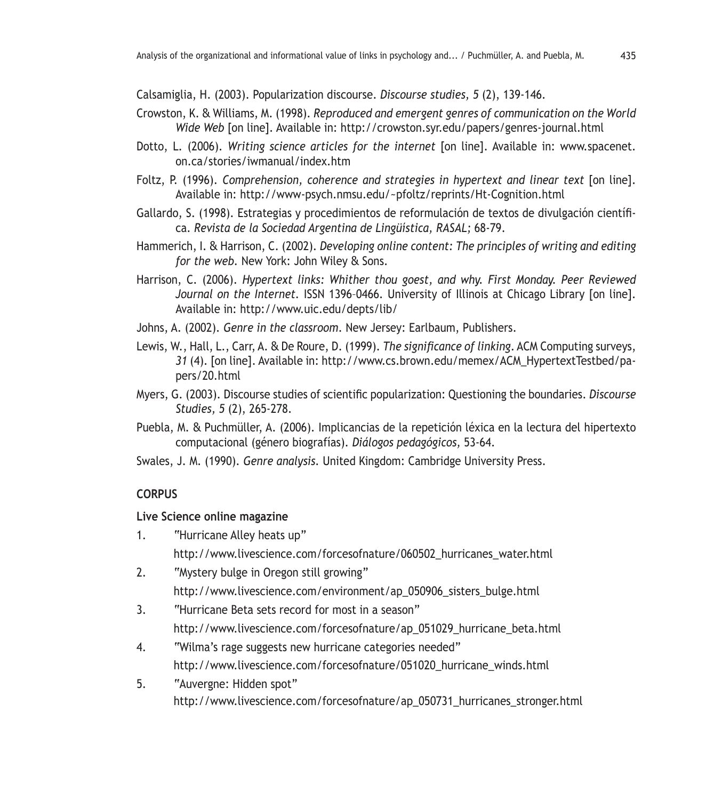Calsamiglia, H. (2003). Popularization discourse. *Discourse studies, 5* (2), 139-146.

- Crowston, K. & Williams, M. (1998). *Reproduced and emergent genres of communication on the World Wide Web* [on line]. Available in: http://crowston.syr.edu/papers/genres-journal.html
- Dotto, L. (2006). *Writing science articles for the internet* [on line]. Available in: www.spacenet. on.ca/stories/iwmanual/index.htm
- Foltz, P. (1996). *Comprehension, coherence and strategies in hypertext and linear text* [on line]. Available in: http://www-psych.nmsu.edu/~pfoltz/reprints/Ht-Cognition.html
- Gallardo, S. (1998). Estrategias y procedimientos de reformulación de textos de divulgación científica. *Revista de la Sociedad Argentina de Lingüística, RASAL;* 68-79.
- Hammerich, I. & Harrison, C. (2002). *Developing online content: The principles of writing and editing for the web.* New York: John Wiley & Sons.
- Harrison, C. (2006). *Hypertext links: Whither thou goest, and why. First Monday. Peer Reviewed Journal on the Internet.* ISSN 1396–0466. University of Illinois at Chicago Library [on line]. Available in: http://www.uic.edu/depts/lib/
- Johns, A. (2002). *Genre in the classroom*. New Jersey: Earlbaum, Publishers.
- Lewis, W., Hall, L., Carr, A. & De Roure, D. (1999). *The significance of linking*. ACM Computing surveys, *31* (4). [on line]. Available in: http://www.cs.brown.edu/memex/ACM\_HypertextTestbed/papers/20.html
- Myers, G. (2003). Discourse studies of scientific popularization: Questioning the boundaries. *Discourse Studies, 5* (2), 265-278.
- Puebla, M. & Puchmüller, A. (2006). Implicancias de la repetición léxica en la lectura del hipertexto computacional (género biografías). *Diálogos pedagógicos,* 53-64.
- Swales, J. M. (1990). *Genre analysis.* United Kingdom: Cambridge University Press.

## **CORPUS**

## **Live Science online magazine**

- 1. "Hurricane Alley heats up" http://www.livescience.com/forcesofnature/060502\_hurricanes\_water.html
- 2. "Mystery bulge in Oregon still growing"
	- http://www.livescience.com/environment/ap\_050906\_sisters\_bulge.html
- 3. "Hurricane Beta sets record for most in a season" http://www.livescience.com/forcesofnature/ap\_051029\_hurricane\_beta.html
- 4. "Wilma's rage suggests new hurricane categories needed" http://www.livescience.com/forcesofnature/051020\_hurricane\_winds.html
- 5. "Auvergne: Hidden spot" http://www.livescience.com/forcesofnature/ap\_050731\_hurricanes\_stronger.html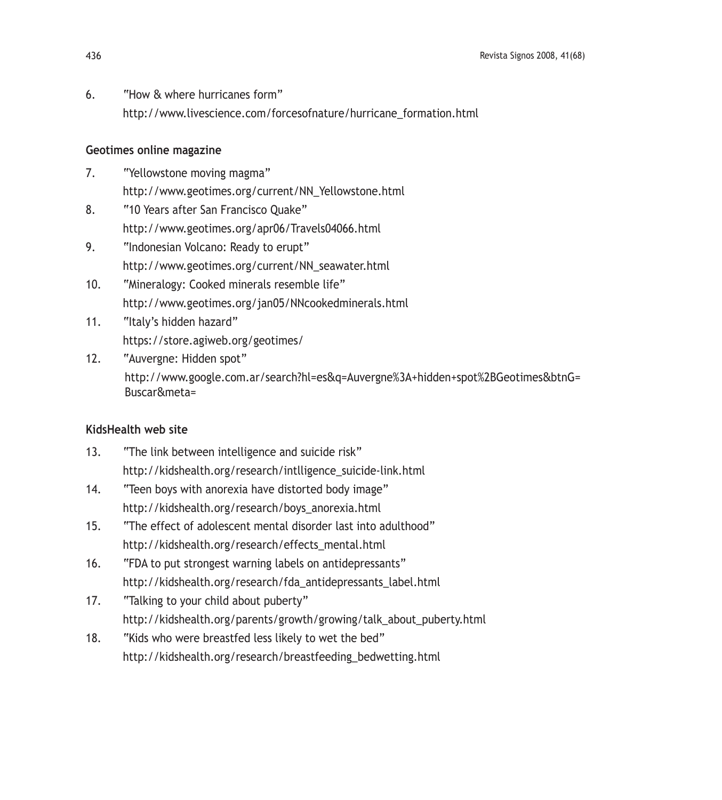6. "How & where hurricanes form" http://www.livescience.com/forcesofnature/hurricane\_formation.html

## **Geotimes online magazine**

- 7. "Yellowstone moving magma" http://www.geotimes.org/current/NN\_Yellowstone.html
- 8. "10 Years after San Francisco Quake" http://www.geotimes.org/apr06/Travels04066.html
- 9. "Indonesian Volcano: Ready to erupt" http://www.geotimes.org/current/NN\_seawater.html
- 10. "Mineralogy: Cooked minerals resemble life" http://www.geotimes.org/jan05/NNcookedminerals.html
- 11. "Italy's hidden hazard" https://store.agiweb.org/geotimes/
- 12. "Auvergne: Hidden spot" http://www.google.com.ar/search?hl=es&q=Auvergne%3A+hidden+spot%2BGeotimes&btnG= Buscar&meta=

## **KidsHealth web site**

- 13. "The link between intelligence and suicide risk" http://kidshealth.org/research/intlligence\_suicide-link.html
- 14. "Teen boys with anorexia have distorted body image" http://kidshealth.org/research/boys\_anorexia.html
- 15. "The effect of adolescent mental disorder last into adulthood" http://kidshealth.org/research/effects\_mental.html
- 16. "FDA to put strongest warning labels on antidepressants" http://kidshealth.org/research/fda\_antidepressants\_label.html
- 17. "Talking to your child about puberty" http://kidshealth.org/parents/growth/growing/talk\_about\_puberty.html
- 18. "Kids who were breastfed less likely to wet the bed" http://kidshealth.org/research/breastfeeding\_bedwetting.html